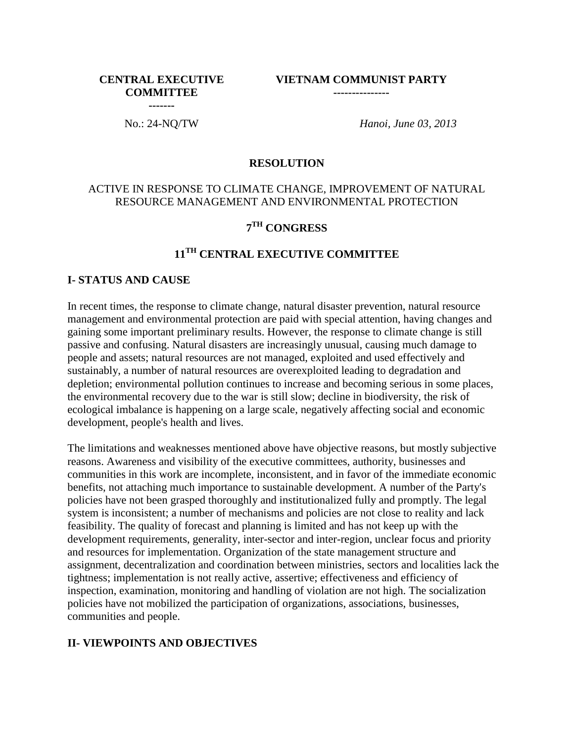#### **CENTRAL EXECUTIVE COMMITTEE -------**

**VIETNAM COMMUNIST PARTY ---------------**

No.: 24-NQ/TW *Hanoi, June 03, 2013*

#### **RESOLUTION**

#### ACTIVE IN RESPONSE TO CLIMATE CHANGE, IMPROVEMENT OF NATURAL RESOURCE MANAGEMENT AND ENVIRONMENTAL PROTECTION

## **7 TH CONGRESS**

# **11TH CENTRAL EXECUTIVE COMMITTEE**

#### **I- STATUS AND CAUSE**

In recent times, the response to climate change, natural disaster prevention, natural resource management and environmental protection are paid with special attention, having changes and gaining some important preliminary results. However, the response to climate change is still passive and confusing. Natural disasters are increasingly unusual, causing much damage to people and assets; natural resources are not managed, exploited and used effectively and sustainably, a number of natural resources are overexploited leading to degradation and depletion; environmental pollution continues to increase and becoming serious in some places, the environmental recovery due to the war is still slow; decline in biodiversity, the risk of ecological imbalance is happening on a large scale, negatively affecting social and economic development, people's health and lives.

The limitations and weaknesses mentioned above have objective reasons, but mostly subjective reasons. Awareness and visibility of the executive committees, authority, businesses and communities in this work are incomplete, inconsistent, and in favor of the immediate economic benefits, not attaching much importance to sustainable development. A number of the Party's policies have not been grasped thoroughly and institutionalized fully and promptly. The legal system is inconsistent; a number of mechanisms and policies are not close to reality and lack feasibility. The quality of forecast and planning is limited and has not keep up with the development requirements, generality, inter-sector and inter-region, unclear focus and priority and resources for implementation. Organization of the state management structure and assignment, decentralization and coordination between ministries, sectors and localities lack the tightness; implementation is not really active, assertive; effectiveness and efficiency of inspection, examination, monitoring and handling of violation are not high. The socialization policies have not mobilized the participation of organizations, associations, businesses, communities and people.

### **II- VIEWPOINTS AND OBJECTIVES**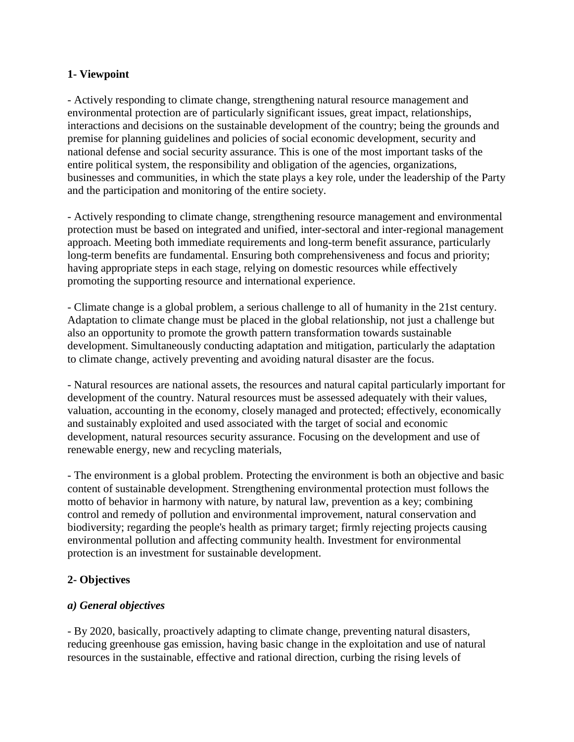#### **1- Viewpoint**

- Actively responding to climate change, strengthening natural resource management and environmental protection are of particularly significant issues, great impact, relationships, interactions and decisions on the sustainable development of the country; being the grounds and premise for planning guidelines and policies of social economic development, security and national defense and social security assurance. This is one of the most important tasks of the entire political system, the responsibility and obligation of the agencies, organizations, businesses and communities, in which the state plays a key role, under the leadership of the Party and the participation and monitoring of the entire society.

- Actively responding to climate change, strengthening resource management and environmental protection must be based on integrated and unified, inter-sectoral and inter-regional management approach. Meeting both immediate requirements and long-term benefit assurance, particularly long-term benefits are fundamental. Ensuring both comprehensiveness and focus and priority; having appropriate steps in each stage, relying on domestic resources while effectively promoting the supporting resource and international experience.

- Climate change is a global problem, a serious challenge to all of humanity in the 21st century. Adaptation to climate change must be placed in the global relationship, not just a challenge but also an opportunity to promote the growth pattern transformation towards sustainable development. Simultaneously conducting adaptation and mitigation, particularly the adaptation to climate change, actively preventing and avoiding natural disaster are the focus.

- Natural resources are national assets, the resources and natural capital particularly important for development of the country. Natural resources must be assessed adequately with their values, valuation, accounting in the economy, closely managed and protected; effectively, economically and sustainably exploited and used associated with the target of social and economic development, natural resources security assurance. Focusing on the development and use of renewable energy, new and recycling materials,

- The environment is a global problem. Protecting the environment is both an objective and basic content of sustainable development. Strengthening environmental protection must follows the motto of behavior in harmony with nature, by natural law, prevention as a key; combining control and remedy of pollution and environmental improvement, natural conservation and biodiversity; regarding the people's health as primary target; firmly rejecting projects causing environmental pollution and affecting community health. Investment for environmental protection is an investment for sustainable development.

### **2- Objectives**

### *a) General objectives*

- By 2020, basically, proactively adapting to climate change, preventing natural disasters, reducing greenhouse gas emission, having basic change in the exploitation and use of natural resources in the sustainable, effective and rational direction, curbing the rising levels of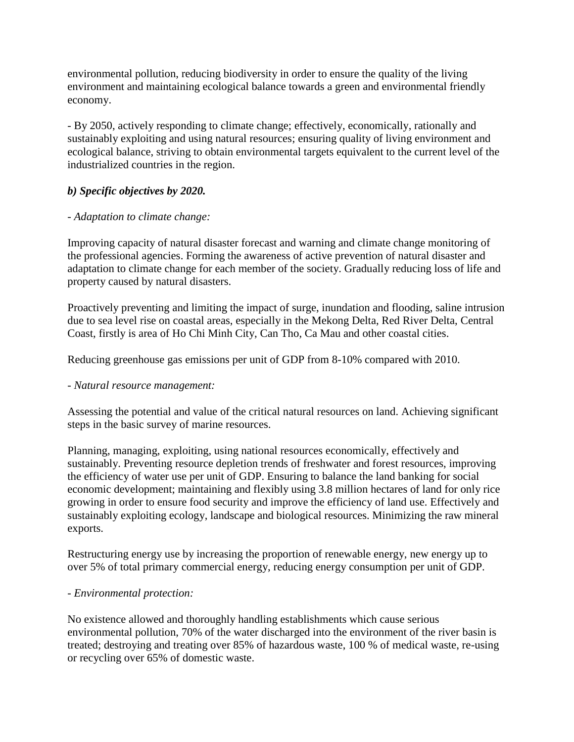environmental pollution, reducing biodiversity in order to ensure the quality of the living environment and maintaining ecological balance towards a green and environmental friendly economy.

- By 2050, actively responding to climate change; effectively, economically, rationally and sustainably exploiting and using natural resources; ensuring quality of living environment and ecological balance, striving to obtain environmental targets equivalent to the current level of the industrialized countries in the region.

## *b) Specific objectives by 2020.*

### *- Adaptation to climate change:*

Improving capacity of natural disaster forecast and warning and climate change monitoring of the professional agencies. Forming the awareness of active prevention of natural disaster and adaptation to climate change for each member of the society. Gradually reducing loss of life and property caused by natural disasters.

Proactively preventing and limiting the impact of surge, inundation and flooding, saline intrusion due to sea level rise on coastal areas, especially in the Mekong Delta, Red River Delta, Central Coast, firstly is area of Ho Chi Minh City, Can Tho, Ca Mau and other coastal cities.

Reducing greenhouse gas emissions per unit of GDP from 8-10% compared with 2010.

### *- Natural resource management:*

Assessing the potential and value of the critical natural resources on land. Achieving significant steps in the basic survey of marine resources.

Planning, managing, exploiting, using national resources economically, effectively and sustainably. Preventing resource depletion trends of freshwater and forest resources, improving the efficiency of water use per unit of GDP. Ensuring to balance the land banking for social economic development; maintaining and flexibly using 3.8 million hectares of land for only rice growing in order to ensure food security and improve the efficiency of land use. Effectively and sustainably exploiting ecology, landscape and biological resources. Minimizing the raw mineral exports.

Restructuring energy use by increasing the proportion of renewable energy, new energy up to over 5% of total primary commercial energy, reducing energy consumption per unit of GDP.

### *- Environmental protection:*

No existence allowed and thoroughly handling establishments which cause serious environmental pollution, 70% of the water discharged into the environment of the river basin is treated; destroying and treating over 85% of hazardous waste, 100 % of medical waste, re-using or recycling over 65% of domestic waste.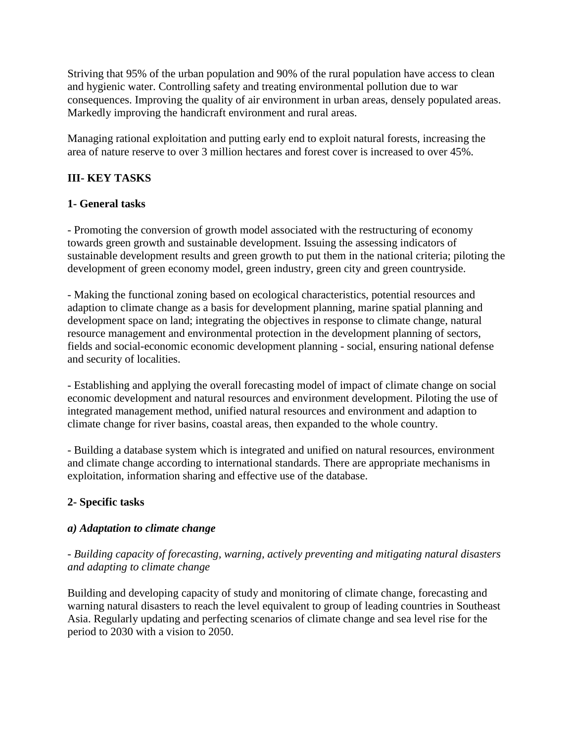Striving that 95% of the urban population and 90% of the rural population have access to clean and hygienic water. Controlling safety and treating environmental pollution due to war consequences. Improving the quality of air environment in urban areas, densely populated areas. Markedly improving the handicraft environment and rural areas.

Managing rational exploitation and putting early end to exploit natural forests, increasing the area of nature reserve to over 3 million hectares and forest cover is increased to over 45%.

# **III- KEY TASKS**

### **1- General tasks**

*-* Promoting the conversion of growth model associated with the restructuring of economy towards green growth and sustainable development. Issuing the assessing indicators of sustainable development results and green growth to put them in the national criteria; piloting the development of green economy model, green industry, green city and green countryside.

- Making the functional zoning based on ecological characteristics, potential resources and adaption to climate change as a basis for development planning, marine spatial planning and development space on land; integrating the objectives in response to climate change, natural resource management and environmental protection in the development planning of sectors, fields and social-economic economic development planning - social, ensuring national defense and security of localities.

- Establishing and applying the overall forecasting model of impact of climate change on social economic development and natural resources and environment development. Piloting the use of integrated management method, unified natural resources and environment and adaption to climate change for river basins, coastal areas, then expanded to the whole country.

- Building a database system which is integrated and unified on natural resources, environment and climate change according to international standards. There are appropriate mechanisms in exploitation, information sharing and effective use of the database.

### **2- Specific tasks**

### *a) Adaptation to climate change*

### *- Building capacity of forecasting, warning, actively preventing and mitigating natural disasters and adapting to climate change*

Building and developing capacity of study and monitoring of climate change, forecasting and warning natural disasters to reach the level equivalent to group of leading countries in Southeast Asia. Regularly updating and perfecting scenarios of climate change and sea level rise for the period to 2030 with a vision to 2050.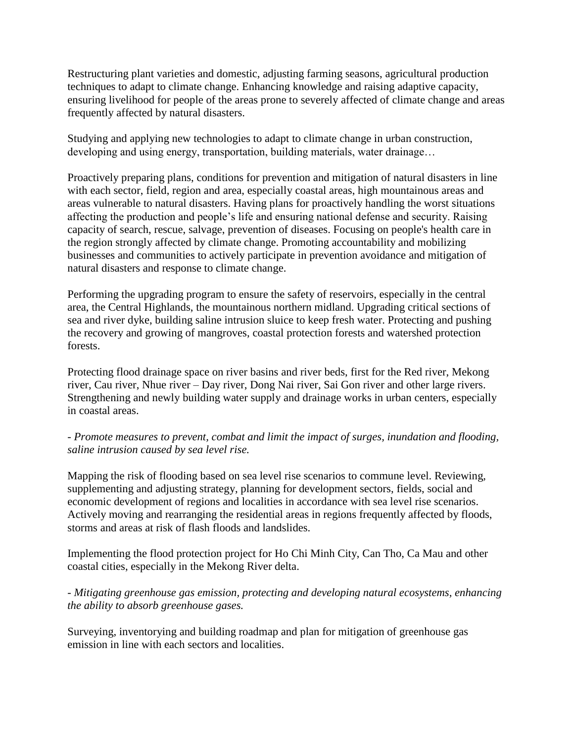Restructuring plant varieties and domestic, adjusting farming seasons, agricultural production techniques to adapt to climate change. Enhancing knowledge and raising adaptive capacity, ensuring livelihood for people of the areas prone to severely affected of climate change and areas frequently affected by natural disasters.

Studying and applying new technologies to adapt to climate change in urban construction, developing and using energy, transportation, building materials, water drainage…

Proactively preparing plans, conditions for prevention and mitigation of natural disasters in line with each sector, field, region and area, especially coastal areas, high mountainous areas and areas vulnerable to natural disasters. Having plans for proactively handling the worst situations affecting the production and people's life and ensuring national defense and security. Raising capacity of search, rescue, salvage, prevention of diseases. Focusing on people's health care in the region strongly affected by climate change. Promoting accountability and mobilizing businesses and communities to actively participate in prevention avoidance and mitigation of natural disasters and response to climate change.

Performing the upgrading program to ensure the safety of reservoirs, especially in the central area, the Central Highlands, the mountainous northern midland. Upgrading critical sections of sea and river dyke, building saline intrusion sluice to keep fresh water. Protecting and pushing the recovery and growing of mangroves, coastal protection forests and watershed protection forests.

Protecting flood drainage space on river basins and river beds, first for the Red river, Mekong river, Cau river, Nhue river – Day river, Dong Nai river, Sai Gon river and other large rivers. Strengthening and newly building water supply and drainage works in urban centers, especially in coastal areas.

### *- Promote measures to prevent, combat and limit the impact of surges, inundation and flooding, saline intrusion caused by sea level rise.*

Mapping the risk of flooding based on sea level rise scenarios to commune level. Reviewing, supplementing and adjusting strategy, planning for development sectors, fields, social and economic development of regions and localities in accordance with sea level rise scenarios. Actively moving and rearranging the residential areas in regions frequently affected by floods, storms and areas at risk of flash floods and landslides.

Implementing the flood protection project for Ho Chi Minh City, Can Tho, Ca Mau and other coastal cities, especially in the Mekong River delta.

*- Mitigating greenhouse gas emission, protecting and developing natural ecosystems, enhancing the ability to absorb greenhouse gases.*

Surveying, inventorying and building roadmap and plan for mitigation of greenhouse gas emission in line with each sectors and localities.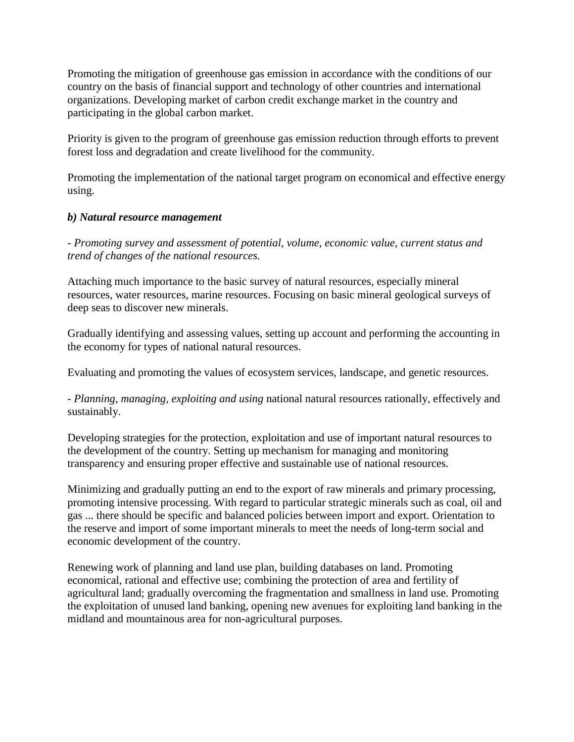Promoting the mitigation of greenhouse gas emission in accordance with the conditions of our country on the basis of financial support and technology of other countries and international organizations. Developing market of carbon credit exchange market in the country and participating in the global carbon market.

Priority is given to the program of greenhouse gas emission reduction through efforts to prevent forest loss and degradation and create livelihood for the community.

Promoting the implementation of the national target program on economical and effective energy using.

#### *b) Natural resource management*

- *Promoting survey and assessment of potential, volume, economic value, current status and trend of changes of the national resources.*

Attaching much importance to the basic survey of natural resources, especially mineral resources, water resources, marine resources. Focusing on basic mineral geological surveys of deep seas to discover new minerals.

Gradually identifying and assessing values, setting up account and performing the accounting in the economy for types of national natural resources.

Evaluating and promoting the values of ecosystem services, landscape, and genetic resources.

*- Planning, managing, exploiting and using* national natural resources rationally, effectively and sustainably.

Developing strategies for the protection, exploitation and use of important natural resources to the development of the country. Setting up mechanism for managing and monitoring transparency and ensuring proper effective and sustainable use of national resources.

Minimizing and gradually putting an end to the export of raw minerals and primary processing, promoting intensive processing. With regard to particular strategic minerals such as coal, oil and gas ... there should be specific and balanced policies between import and export. Orientation to the reserve and import of some important minerals to meet the needs of long-term social and economic development of the country.

Renewing work of planning and land use plan, building databases on land. Promoting economical, rational and effective use; combining the protection of area and fertility of agricultural land; gradually overcoming the fragmentation and smallness in land use. Promoting the exploitation of unused land banking, opening new avenues for exploiting land banking in the midland and mountainous area for non-agricultural purposes.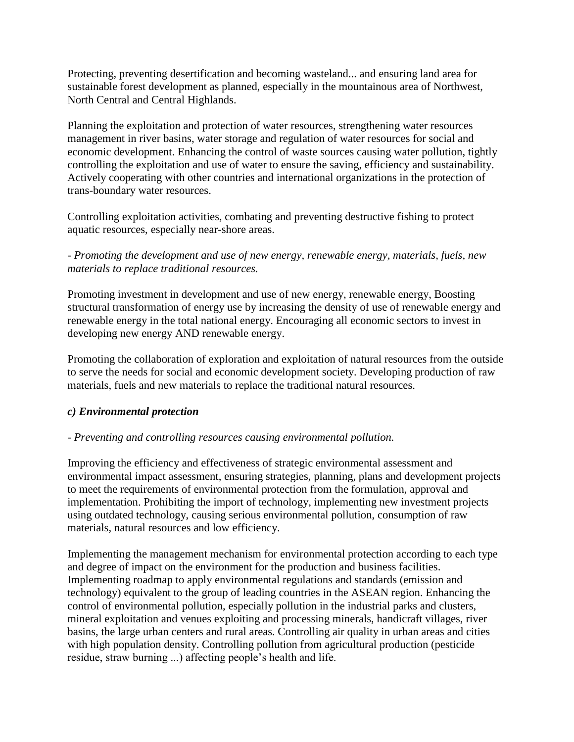Protecting, preventing desertification and becoming wasteland... and ensuring land area for sustainable forest development as planned, especially in the mountainous area of Northwest, North Central and Central Highlands.

Planning the exploitation and protection of water resources, strengthening water resources management in river basins, water storage and regulation of water resources for social and economic development. Enhancing the control of waste sources causing water pollution, tightly controlling the exploitation and use of water to ensure the saving, efficiency and sustainability. Actively cooperating with other countries and international organizations in the protection of trans-boundary water resources.

Controlling exploitation activities, combating and preventing destructive fishing to protect aquatic resources, especially near-shore areas.

### - *Promoting the development and use of new energy, renewable energy, materials, fuels, new materials to replace traditional resources.*

Promoting investment in development and use of new energy, renewable energy, Boosting structural transformation of energy use by increasing the density of use of renewable energy and renewable energy in the total national energy. Encouraging all economic sectors to invest in developing new energy AND renewable energy.

Promoting the collaboration of exploration and exploitation of natural resources from the outside to serve the needs for social and economic development society. Developing production of raw materials, fuels and new materials to replace the traditional natural resources.

### *c) Environmental protection*

#### *- Preventing and controlling resources causing environmental pollution.*

Improving the efficiency and effectiveness of strategic environmental assessment and environmental impact assessment, ensuring strategies, planning, plans and development projects to meet the requirements of environmental protection from the formulation, approval and implementation. Prohibiting the import of technology, implementing new investment projects using outdated technology, causing serious environmental pollution, consumption of raw materials, natural resources and low efficiency.

Implementing the management mechanism for environmental protection according to each type and degree of impact on the environment for the production and business facilities. Implementing roadmap to apply environmental regulations and standards (emission and technology) equivalent to the group of leading countries in the ASEAN region. Enhancing the control of environmental pollution, especially pollution in the industrial parks and clusters, mineral exploitation and venues exploiting and processing minerals, handicraft villages, river basins, the large urban centers and rural areas. Controlling air quality in urban areas and cities with high population density. Controlling pollution from agricultural production (pesticide residue, straw burning ...) affecting people's health and life.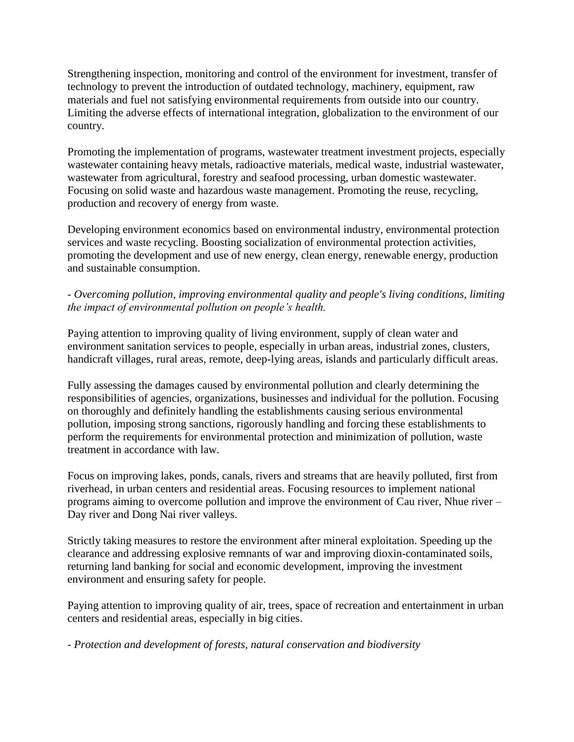Strengthening inspection, monitoring and control of the environment for investment, transfer of technology to prevent the introduction of outdated technology, machinery, equipment, raw materials and fuel not satisfying environmental requirements from outside into our country. Limiting the adverse effects of international integration, globalization to the environment of our country.

Promoting the implementation of programs, wastewater treatment investment projects, especially wastewater containing heavy metals, radioactive materials, medical waste, industrial wastewater, wastewater from agricultural, forestry and seafood processing, urban domestic wastewater. Focusing on solid waste and hazardous waste management. Promoting the reuse, recycling, production and recovery of energy from waste.

Developing environment economics based on environmental industry, environmental protection services and waste recycling. Boosting socialization of environmental protection activities, promoting the development and use of new energy, clean energy, renewable energy, production and sustainable consumption.

## *- Overcoming pollution, improving environmental quality and people's living conditions, limiting the impact of environmental pollution on people's health.*

Paying attention to improving quality of living environment, supply of clean water and environment sanitation services to people, especially in urban areas, industrial zones, clusters, handicraft villages, rural areas, remote, deep-lying areas, islands and particularly difficult areas.

Fully assessing the damages caused by environmental pollution and clearly determining the responsibilities of agencies, organizations, businesses and individual for the pollution. Focusing on thoroughly and definitely handling the establishments causing serious environmental pollution, imposing strong sanctions, rigorously handling and forcing these establishments to perform the requirements for environmental protection and minimization of pollution, waste treatment in accordance with law.

Focus on improving lakes, ponds, canals, rivers and streams that are heavily polluted, first from riverhead, in urban centers and residential areas. Focusing resources to implement national programs aiming to overcome pollution and improve the environment of Cau river, Nhue river – Day river and Dong Nai river valleys.

Strictly taking measures to restore the environment after mineral exploitation. Speeding up the clearance and addressing explosive remnants of war and improving dioxin-contaminated soils, returning land banking for social and economic development, improving the investment environment and ensuring safety for people.

Paying attention to improving quality of air, trees, space of recreation and entertainment in urban centers and residential areas, especially in big cities.

*- Protection and development of forests, natural conservation and biodiversity*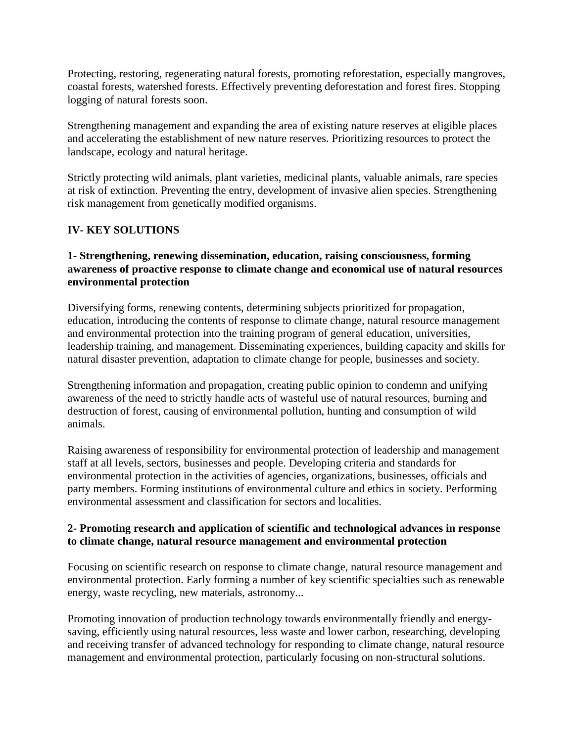Protecting, restoring, regenerating natural forests, promoting reforestation, especially mangroves, coastal forests, watershed forests. Effectively preventing deforestation and forest fires. Stopping logging of natural forests soon.

Strengthening management and expanding the area of existing nature reserves at eligible places and accelerating the establishment of new nature reserves. Prioritizing resources to protect the landscape, ecology and natural heritage.

Strictly protecting wild animals, plant varieties, medicinal plants, valuable animals, rare species at risk of extinction. Preventing the entry, development of invasive alien species. Strengthening risk management from genetically modified organisms.

## **IV- KEY SOLUTIONS**

#### **1- Strengthening, renewing dissemination, education, raising consciousness, forming awareness of proactive response to climate change and economical use of natural resources environmental protection**

Diversifying forms, renewing contents, determining subjects prioritized for propagation, education, introducing the contents of response to climate change, natural resource management and environmental protection into the training program of general education, universities, leadership training, and management. Disseminating experiences, building capacity and skills for natural disaster prevention, adaptation to climate change for people, businesses and society.

Strengthening information and propagation, creating public opinion to condemn and unifying awareness of the need to strictly handle acts of wasteful use of natural resources, burning and destruction of forest, causing of environmental pollution, hunting and consumption of wild animals.

Raising awareness of responsibility for environmental protection of leadership and management staff at all levels, sectors, businesses and people. Developing criteria and standards for environmental protection in the activities of agencies, organizations, businesses, officials and party members. Forming institutions of environmental culture and ethics in society. Performing environmental assessment and classification for sectors and localities.

#### **2- Promoting research and application of scientific and technological advances in response to climate change, natural resource management and environmental protection**

Focusing on scientific research on response to climate change, natural resource management and environmental protection. Early forming a number of key scientific specialties such as renewable energy, waste recycling, new materials, astronomy...

Promoting innovation of production technology towards environmentally friendly and energysaving, efficiently using natural resources, less waste and lower carbon, researching, developing and receiving transfer of advanced technology for responding to climate change, natural resource management and environmental protection, particularly focusing on non-structural solutions.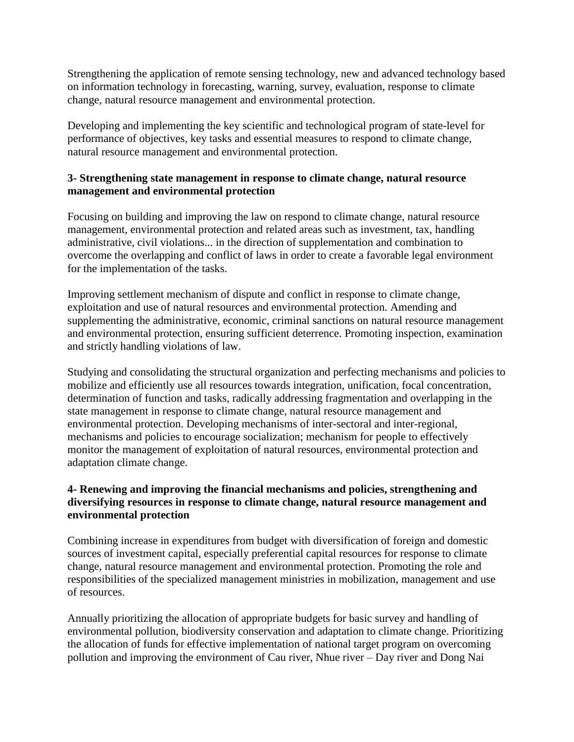Strengthening the application of remote sensing technology, new and advanced technology based on information technology in forecasting, warning, survey, evaluation, response to climate change, natural resource management and environmental protection.

Developing and implementing the key scientific and technological program of state-level for performance of objectives, key tasks and essential measures to respond to climate change, natural resource management and environmental protection.

### **3- Strengthening state management in response to climate change, natural resource management and environmental protection**

Focusing on building and improving the law on respond to climate change, natural resource management, environmental protection and related areas such as investment, tax, handling administrative, civil violations... in the direction of supplementation and combination to overcome the overlapping and conflict of laws in order to create a favorable legal environment for the implementation of the tasks.

Improving settlement mechanism of dispute and conflict in response to climate change, exploitation and use of natural resources and environmental protection. Amending and supplementing the administrative, economic, criminal sanctions on natural resource management and environmental protection, ensuring sufficient deterrence. Promoting inspection, examination and strictly handling violations of law.

Studying and consolidating the structural organization and perfecting mechanisms and policies to mobilize and efficiently use all resources towards integration, unification, focal concentration, determination of function and tasks, radically addressing fragmentation and overlapping in the state management in response to climate change, natural resource management and environmental protection. Developing mechanisms of inter-sectoral and inter-regional, mechanisms and policies to encourage socialization; mechanism for people to effectively monitor the management of exploitation of natural resources, environmental protection and adaptation climate change.

### **4- Renewing and improving the financial mechanisms and policies, strengthening and diversifying resources in response to climate change, natural resource management and environmental protection**

Combining increase in expenditures from budget with diversification of foreign and domestic sources of investment capital, especially preferential capital resources for response to climate change, natural resource management and environmental protection. Promoting the role and responsibilities of the specialized management ministries in mobilization, management and use of resources.

Annually prioritizing the allocation of appropriate budgets for basic survey and handling of environmental pollution, biodiversity conservation and adaptation to climate change. Prioritizing the allocation of funds for effective implementation of national target program on overcoming pollution and improving the environment of Cau river, Nhue river – Day river and Dong Nai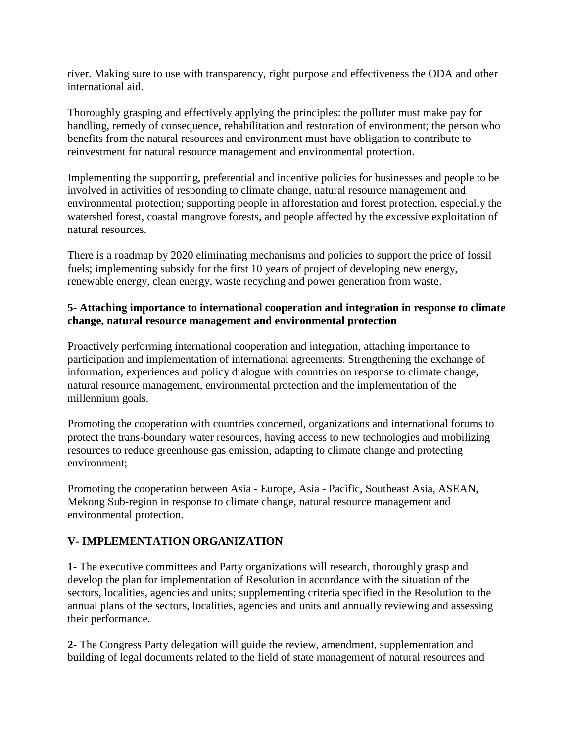river. Making sure to use with transparency, right purpose and effectiveness the ODA and other international aid.

Thoroughly grasping and effectively applying the principles: the polluter must make pay for handling, remedy of consequence, rehabilitation and restoration of environment; the person who benefits from the natural resources and environment must have obligation to contribute to reinvestment for natural resource management and environmental protection.

Implementing the supporting, preferential and incentive policies for businesses and people to be involved in activities of responding to climate change, natural resource management and environmental protection; supporting people in afforestation and forest protection, especially the watershed forest, coastal mangrove forests, and people affected by the excessive exploitation of natural resources.

There is a roadmap by 2020 eliminating mechanisms and policies to support the price of fossil fuels; implementing subsidy for the first 10 years of project of developing new energy, renewable energy, clean energy, waste recycling and power generation from waste.

### **5- Attaching importance to international cooperation and integration in response to climate change, natural resource management and environmental protection**

Proactively performing international cooperation and integration, attaching importance to participation and implementation of international agreements. Strengthening the exchange of information, experiences and policy dialogue with countries on response to climate change, natural resource management, environmental protection and the implementation of the millennium goals.

Promoting the cooperation with countries concerned, organizations and international forums to protect the trans-boundary water resources, having access to new technologies and mobilizing resources to reduce greenhouse gas emission, adapting to climate change and protecting environment;

Promoting the cooperation between Asia - Europe, Asia - Pacific, Southeast Asia, ASEAN, Mekong Sub-region in response to climate change, natural resource management and environmental protection.

# **V- IMPLEMENTATION ORGANIZATION**

**1-** The executive committees and Party organizations will research, thoroughly grasp and develop the plan for implementation of Resolution in accordance with the situation of the sectors, localities, agencies and units; supplementing criteria specified in the Resolution to the annual plans of the sectors, localities, agencies and units and annually reviewing and assessing their performance.

**2-** The Congress Party delegation will guide the review, amendment, supplementation and building of legal documents related to the field of state management of natural resources and